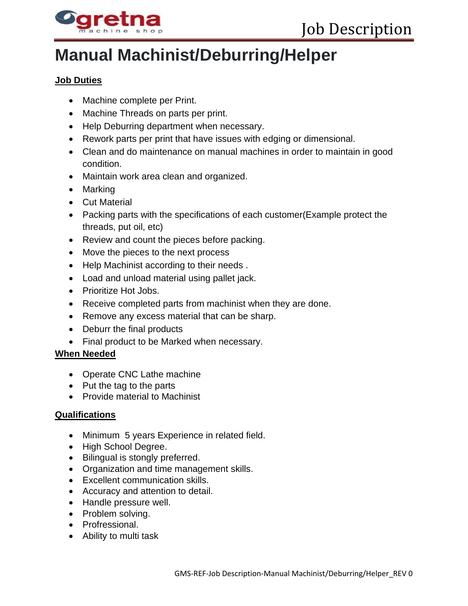

## **Manual Machinist/Deburring/Helper**

## **Job Duties**

- Machine complete per Print.
- Machine Threads on parts per print.
- Help Deburring department when necessary.
- Rework parts per print that have issues with edging or dimensional.
- Clean and do maintenance on manual machines in order to maintain in good condition.
- Maintain work area clean and organized.
- Marking
- Cut Material
- Packing parts with the specifications of each customer(Example protect the threads, put oil, etc)
- Review and count the pieces before packing.
- Move the pieces to the next process
- Help Machinist according to their needs .
- Load and unload material using pallet jack.
- Prioritize Hot Jobs.
- Receive completed parts from machinist when they are done.
- Remove any excess material that can be sharp.
- Deburr the final products
- Final product to be Marked when necessary.

## **When Needed**

- Operate CNC Lathe machine
- Put the tag to the parts
- Provide material to Machinist

## **Qualifications**

- Minimum 5 years Experience in related field.
- High School Degree.
- Bilingual is stongly preferred.
- Organization and time management skills.
- Excellent communication skills.
- Accuracy and attention to detail.
- Handle pressure well.
- Problem solving.
- Profressional.
- Ability to multi task